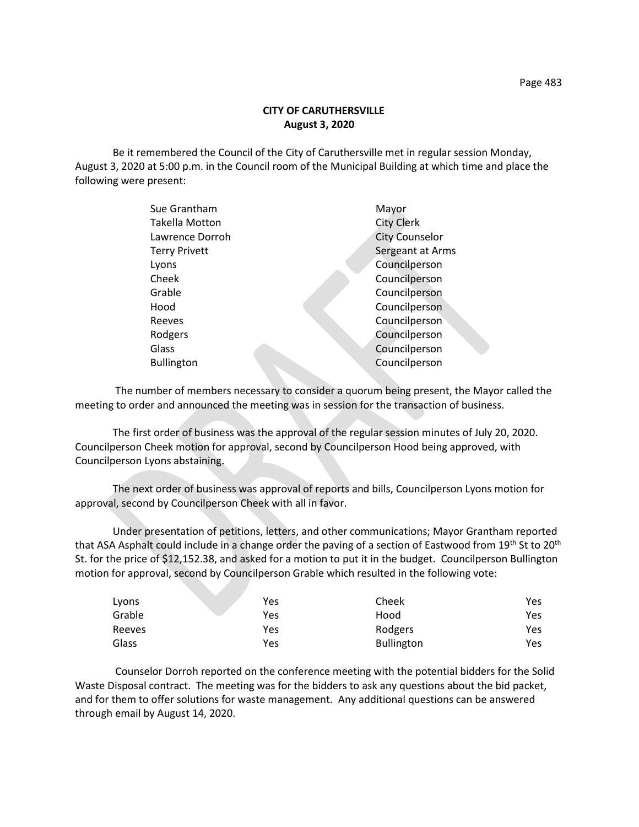Be it remembered the Council of the City of Caruthersville met in regular session Monday, August 3, 2020 at 5:00 p.m. in the Council room of the Municipal Building at which time and place the following were present:

| Sue Grantham          | Mayor                 |
|-----------------------|-----------------------|
| <b>Takella Motton</b> | <b>City Clerk</b>     |
| Lawrence Dorroh       | <b>City Counselor</b> |
| <b>Terry Privett</b>  | Sergeant at Arms      |
| Lyons                 | Councilperson         |
| Cheek                 | Councilperson         |
| Grable                | Councilperson         |
| Hood                  | Councilperson         |
| Reeves                | Councilperson         |
| Rodgers               | Councilperson         |
| Glass                 | Councilperson         |
| <b>Bullington</b>     | Councilperson         |
|                       |                       |

 The number of members necessary to consider a quorum being present, the Mayor called the meeting to order and announced the meeting was in session for the transaction of business.

The first order of business was the approval of the regular session minutes of July 20, 2020. Councilperson Cheek motion for approval, second by Councilperson Hood being approved, with Councilperson Lyons abstaining.

The next order of business was approval of reports and bills, Councilperson Lyons motion for approval, second by Councilperson Cheek with all in favor.

Under presentation of petitions, letters, and other communications; Mayor Grantham reported that ASA Asphalt could include in a change order the paving of a section of Eastwood from 19<sup>th</sup> St to 20<sup>th</sup> St. for the price of \$12,152.38, and asked for a motion to put it in the budget. Councilperson Bullington motion for approval, second by Councilperson Grable which resulted in the following vote:

| Lyons  | <b>Yes</b> | Cheek             | Yes |
|--------|------------|-------------------|-----|
| Grable | Yes        | Hood              | Yes |
| Reeves | Yes        | Rodgers           | Yes |
| Glass  | Yes        | <b>Bullington</b> | Yes |

Counselor Dorroh reported on the conference meeting with the potential bidders for the Solid Waste Disposal contract. The meeting was for the bidders to ask any questions about the bid packet, and for them to offer solutions for waste management. Any additional questions can be answered through email by August 14, 2020.